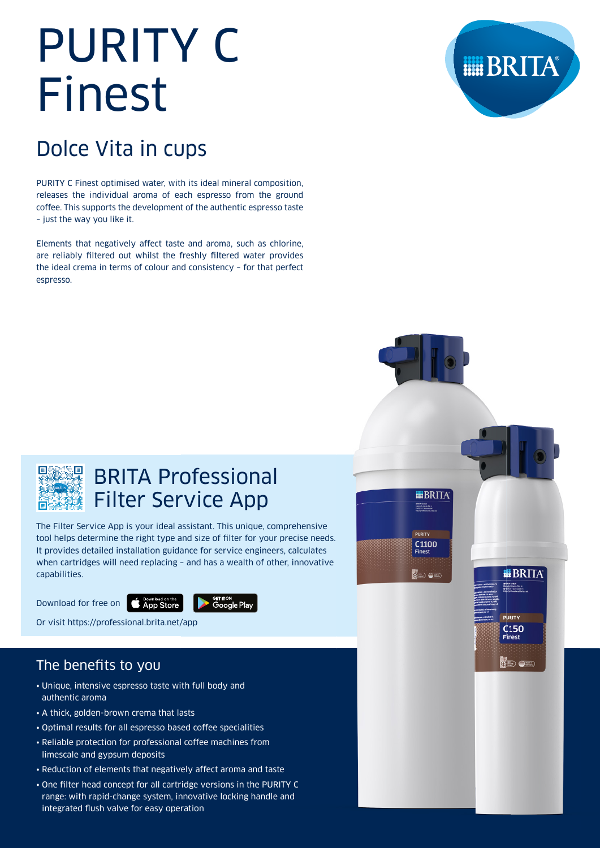# PURITY C Finest

# Dolce Vita in cups

PURITY C Finest optimised water, with its ideal mineral composition, releases the individual aroma of each espresso from the ground coffee. This supports the development of the authentic espresso taste – just the way you like it.

Elements that negatively affect taste and aroma, such as chlorine, are reliably filtered out whilst the freshly filtered water provides the ideal crema in terms of colour and consistency – for that perfect espresso.





# BRITA Professional Filter Service App

The Filter Service App is your ideal assistant. This unique, comprehensive tool helps determine the right type and size of filter for your precise needs. It provides detailed installation guidance for service engineers, calculates when cartridges will need replacing – and has a wealth of other, innovative capabilities.

Download for free on **CADON DOWNLOAD ON the** 



Or visit https://professional.brita.net/app

# The benefits to you

- Unique, intensive espresso taste with full body and authentic aroma
- A thick, golden-brown crema that lasts
- Optimal results for all espresso based coffee specialities
- Reliable protection for professional coffee machines from limescale and gypsum deposits
- Reduction of elements that negatively affect aroma and taste
- One filter head concept for all cartridge versions in the PURITY C range: with rapid-change system, innovative locking handle and integrated flush valve for easy operation